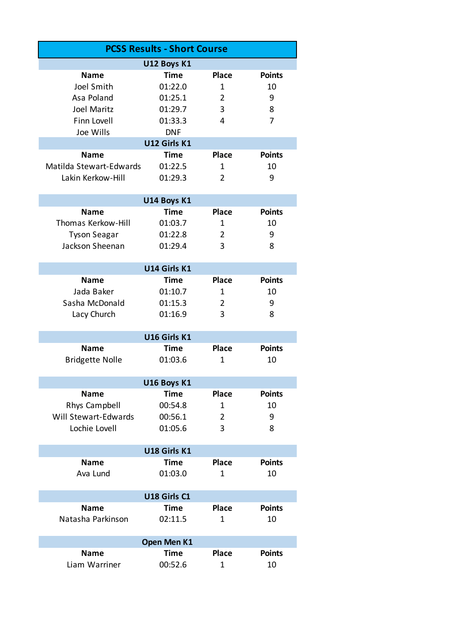| <b>PCSS Results - Short Course</b> |              |                |               |  |  |  |  |
|------------------------------------|--------------|----------------|---------------|--|--|--|--|
| U12 Boys K1                        |              |                |               |  |  |  |  |
| <b>Name</b>                        | <b>Time</b>  | <b>Place</b>   | <b>Points</b> |  |  |  |  |
| Joel Smith                         | 01:22.0      | 1              | 10            |  |  |  |  |
| Asa Poland                         | 01:25.1      | 2              | 9             |  |  |  |  |
| Joel Maritz                        | 01:29.7      | 3              | 8             |  |  |  |  |
| Finn Lovell                        | 01:33.3      | 4              | 7             |  |  |  |  |
| Joe Wills                          | <b>DNF</b>   |                |               |  |  |  |  |
| U12 Girls K1                       |              |                |               |  |  |  |  |
| <b>Name</b>                        | <b>Time</b>  | <b>Place</b>   | <b>Points</b> |  |  |  |  |
| Matilda Stewart-Edwards            | 01:22.5      | 1              | 10            |  |  |  |  |
| Lakin Kerkow-Hill                  | 01:29.3      | $\overline{2}$ | 9             |  |  |  |  |
|                                    |              |                |               |  |  |  |  |
|                                    | U14 Boys K1  |                |               |  |  |  |  |
| <b>Name</b>                        | <b>Time</b>  | <b>Place</b>   | <b>Points</b> |  |  |  |  |
| Thomas Kerkow-Hill                 | 01:03.7      | 1              | 10            |  |  |  |  |
| <b>Tyson Seagar</b>                | 01:22.8      | 2              | 9             |  |  |  |  |
| Jackson Sheenan                    | 01:29.4      | 3              | 8             |  |  |  |  |
|                                    |              |                |               |  |  |  |  |
|                                    | U14 Girls K1 |                |               |  |  |  |  |
| <b>Name</b>                        | <b>Time</b>  | <b>Place</b>   | <b>Points</b> |  |  |  |  |
| Jada Baker                         | 01:10.7      | 1              | 10            |  |  |  |  |
| Sasha McDonald                     | 01:15.3      | 2              | 9             |  |  |  |  |
| Lacy Church                        | 01:16.9      | 3              | 8             |  |  |  |  |
|                                    | U16 Girls K1 |                |               |  |  |  |  |
| <b>Name</b>                        | <b>Time</b>  | <b>Place</b>   | <b>Points</b> |  |  |  |  |
| <b>Bridgette Nolle</b>             | 01:03.6      | 1              | 10            |  |  |  |  |
|                                    |              |                |               |  |  |  |  |
|                                    | U16 Boys K1  |                |               |  |  |  |  |
| <b>Name</b>                        | <b>Time</b>  | <b>Place</b>   | <b>Points</b> |  |  |  |  |
| Rhys Campbell                      | 00:54.8      | 1              | 10            |  |  |  |  |
| <b>Will Stewart-Edwards</b>        | 00:56.1      | $\overline{2}$ | 9             |  |  |  |  |
| Lochie Lovell                      | 01:05.6      | 3              | 8             |  |  |  |  |
|                                    |              |                |               |  |  |  |  |
|                                    | U18 Girls K1 |                |               |  |  |  |  |
| <b>Name</b>                        | <b>Time</b>  | <b>Place</b>   | <b>Points</b> |  |  |  |  |
| Ava Lund                           | 01:03.0      | 1              | 10            |  |  |  |  |
| U18 Girls C1                       |              |                |               |  |  |  |  |
| <b>Name</b>                        | <b>Time</b>  | <b>Place</b>   | <b>Points</b> |  |  |  |  |
| Natasha Parkinson                  | 02:11.5      | 1              | 10            |  |  |  |  |
|                                    |              |                |               |  |  |  |  |
| Open Men K1                        |              |                |               |  |  |  |  |
| <b>Name</b>                        | Time         | <b>Place</b>   | <b>Points</b> |  |  |  |  |
| Liam Warriner                      | 00:52.6      | 1              | 10            |  |  |  |  |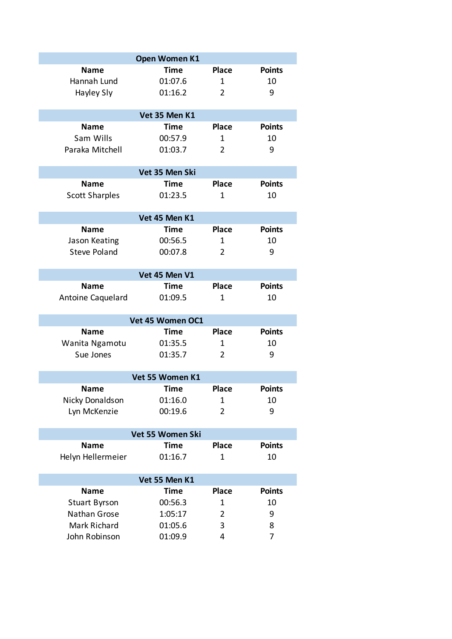| Open Women K1         |                  |                |               |  |  |  |
|-----------------------|------------------|----------------|---------------|--|--|--|
| <b>Name</b>           | Time             | <b>Place</b>   | <b>Points</b> |  |  |  |
| Hannah Lund           | 01:07.6          | 1              | 10            |  |  |  |
| Hayley Sly            | 01:16.2          | $\overline{2}$ | 9             |  |  |  |
|                       |                  |                |               |  |  |  |
| Vet 35 Men K1         |                  |                |               |  |  |  |
| <b>Name</b>           | <b>Time</b>      | <b>Place</b>   | <b>Points</b> |  |  |  |
| Sam Wills             | 00:57.9          | $\mathbf{1}$   | 10            |  |  |  |
| Paraka Mitchell       | 01:03.7          | $\overline{2}$ | 9             |  |  |  |
| Vet 35 Men Ski        |                  |                |               |  |  |  |
| <b>Name</b>           | Time             | <b>Place</b>   | <b>Points</b> |  |  |  |
| <b>Scott Sharples</b> | 01:23.5          | 1              | 10            |  |  |  |
|                       |                  |                |               |  |  |  |
| Vet 45 Men K1         |                  |                |               |  |  |  |
| <b>Name</b>           | Time             | <b>Place</b>   | <b>Points</b> |  |  |  |
| Jason Keating         | 00:56.5          | 1              | 10            |  |  |  |
| <b>Steve Poland</b>   | 00:07.8          | $\overline{2}$ | 9             |  |  |  |
|                       |                  |                |               |  |  |  |
|                       | Vet 45 Men V1    |                |               |  |  |  |
| <b>Name</b>           | Time             | <b>Place</b>   | <b>Points</b> |  |  |  |
| Antoine Caquelard     | 01:09.5          | $\mathbf{1}$   | 10            |  |  |  |
|                       | Vet 45 Women OC1 |                |               |  |  |  |
| Name                  | Time             | <b>Place</b>   | <b>Points</b> |  |  |  |
| Wanita Ngamotu        | 01:35.5          | $\mathbf{1}$   | 10            |  |  |  |
| Sue Jones             | 01:35.7          | $\overline{2}$ | 9             |  |  |  |
|                       |                  |                |               |  |  |  |
|                       | Vet 55 Women K1  |                |               |  |  |  |
| <b>Name</b>           | <b>Time</b>      | Place          | <b>Points</b> |  |  |  |
| Nicky Donaldson       | 01:16.0          | 1              | 10            |  |  |  |
| Lyn McKenzie          | 00:19.6          | $\overline{2}$ | 9             |  |  |  |
|                       |                  |                |               |  |  |  |
|                       | Vet 55 Women Ski |                |               |  |  |  |
| <b>Name</b>           | Time             | <b>Place</b>   | <b>Points</b> |  |  |  |
| Helyn Hellermeier     | 01:16.7          | $\mathbf{1}$   | 10            |  |  |  |
| Vet 55 Men K1         |                  |                |               |  |  |  |
| <b>Name</b>           | Time             | <b>Place</b>   | <b>Points</b> |  |  |  |
| <b>Stuart Byrson</b>  | 00:56.3          | 1              | 10            |  |  |  |
| Nathan Grose          | 1:05:17          | 2              | 9             |  |  |  |
| Mark Richard          | 01:05.6          | 3              | 8             |  |  |  |
| John Robinson         | 01:09.9          | 4              | 7             |  |  |  |
|                       |                  |                |               |  |  |  |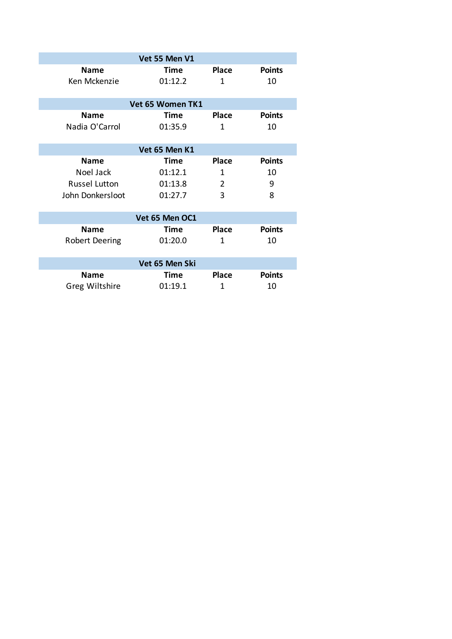| Vet 55 Men V1         |             |              |               |  |  |  |  |
|-----------------------|-------------|--------------|---------------|--|--|--|--|
| <b>Name</b>           | <b>Time</b> | <b>Place</b> | <b>Points</b> |  |  |  |  |
| Ken Mckenzie          | 01:12.2     | 1            | 10            |  |  |  |  |
| Vet 65 Women TK1      |             |              |               |  |  |  |  |
| <b>Name</b>           | <b>Time</b> | <b>Place</b> | <b>Points</b> |  |  |  |  |
| Nadia O'Carrol        | 01:35.9     | 1            | 10            |  |  |  |  |
|                       |             |              |               |  |  |  |  |
| Vet 65 Men K1         |             |              |               |  |  |  |  |
| <b>Name</b>           | <b>Time</b> | <b>Place</b> | <b>Points</b> |  |  |  |  |
| Noel Jack             | 01:12.1     | 1            | 10            |  |  |  |  |
| <b>Russel Lutton</b>  | 01:13.8     | 2            | 9             |  |  |  |  |
| John Donkersloot      | 01:27.7     | 3            | 8             |  |  |  |  |
|                       |             |              |               |  |  |  |  |
| Vet 65 Men OC1        |             |              |               |  |  |  |  |
| <b>Name</b>           | Time        | <b>Place</b> | <b>Points</b> |  |  |  |  |
| <b>Robert Deering</b> | 01:20.0     | 1            | 10            |  |  |  |  |
|                       |             |              |               |  |  |  |  |
| Vet 65 Men Ski        |             |              |               |  |  |  |  |
| <b>Name</b>           | Time        | <b>Place</b> | <b>Points</b> |  |  |  |  |
| Greg Wiltshire        | 01:19.1     | 1            | 10            |  |  |  |  |
|                       |             |              |               |  |  |  |  |